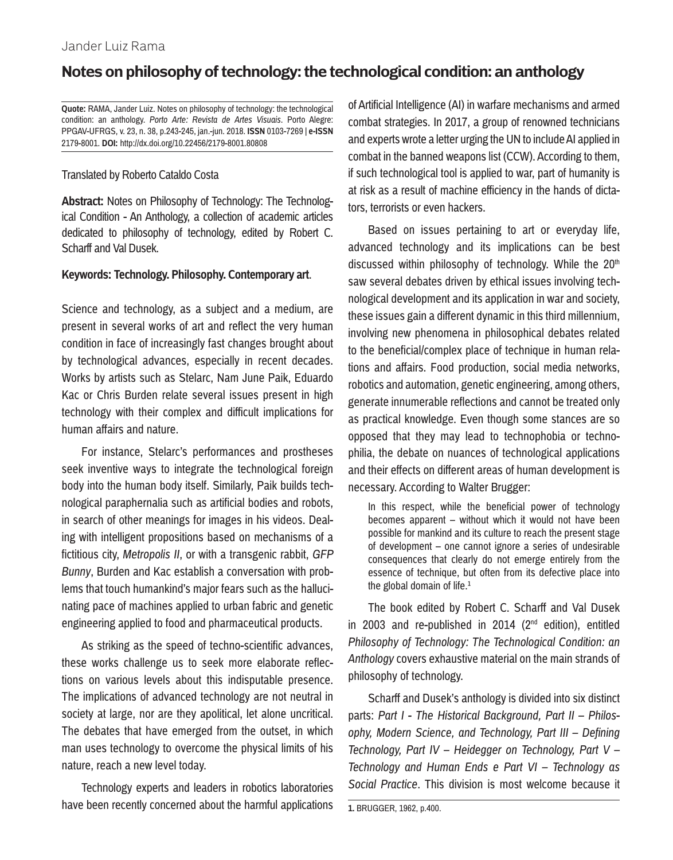## **Notes on philosophy of technology: the technological condition: an anthology**

**Quote:** RAMA, Jander Luiz. Notes on philosophy of technology: the technological condition: an anthology. *Porto Arte: Revista de Artes Visuais*. Porto Alegre: PPGAV-UFRGS, v. 23, n. 38, p.243-245, jan.-jun. 2018. **ISSN** 0103-7269 | **e-ISSN**  2179-8001. **DOI:** http://dx.doi.org/10.22456/2179-8001.80808

## Translated by Roberto Cataldo Costa

**Abstract:** Notes on Philosophy of Technology: The Technological Condition - An Anthology, a collection of academic articles dedicated to philosophy of technology, edited by Robert C. Scharff and Val Dusek.

## **Keywords: Technology. Philosophy. Contemporary art**.

Science and technology, as a subject and a medium, are present in several works of art and reflect the very human condition in face of increasingly fast changes brought about by technological advances, especially in recent decades. Works by artists such as Stelarc, Nam June Paik, Eduardo Kac or Chris Burden relate several issues present in high technology with their complex and difficult implications for human affairs and nature.

For instance, Stelarc's performances and prostheses seek inventive ways to integrate the technological foreign body into the human body itself. Similarly, Paik builds technological paraphernalia such as artificial bodies and robots, in search of other meanings for images in his videos. Dealing with intelligent propositions based on mechanisms of a fictitious city, *Metropolis II*, or with a transgenic rabbit, *GFP Bunny*, Burden and Kac establish a conversation with problems that touch humankind's major fears such as the hallucinating pace of machines applied to urban fabric and genetic engineering applied to food and pharmaceutical products.

As striking as the speed of techno-scientific advances, these works challenge us to seek more elaborate reflections on various levels about this indisputable presence. The implications of advanced technology are not neutral in society at large, nor are they apolitical, let alone uncritical. The debates that have emerged from the outset, in which man uses technology to overcome the physical limits of his nature, reach a new level today.

Technology experts and leaders in robotics laboratories have been recently concerned about the harmful applications of Artificial Intelligence (AI) in warfare mechanisms and armed combat strategies. In 2017, a group of renowned technicians and experts wrote a letter urging the UN to include AI applied in combat in the banned weapons list (CCW). According to them, if such technological tool is applied to war, part of humanity is at risk as a result of machine efficiency in the hands of dictators, terrorists or even hackers.

Based on issues pertaining to art or everyday life, advanced technology and its implications can be best discussed within philosophy of technology. While the 20<sup>th</sup> saw several debates driven by ethical issues involving technological development and its application in war and society, these issues gain a different dynamic in this third millennium, involving new phenomena in philosophical debates related to the beneficial/complex place of technique in human relations and affairs. Food production, social media networks, robotics and automation, genetic engineering, among others, generate innumerable reflections and cannot be treated only as practical knowledge. Even though some stances are so opposed that they may lead to technophobia or technophilia, the debate on nuances of technological applications and their effects on different areas of human development is necessary. According to Walter Brugger:

In this respect, while the beneficial power of technology becomes apparent – without which it would not have been possible for mankind and its culture to reach the present stage of development – one cannot ignore a series of undesirable consequences that clearly do not emerge entirely from the essence of technique, but often from its defective place into the global domain of life. $1$ 

The book edited by Robert C. Scharff and Val Dusek in 2003 and re-published in 2014 ( $2<sup>nd</sup>$  edition), entitled *Philosophy of Technology: The Technological Condition: an Anthology* covers exhaustive material on the main strands of philosophy of technology.

Scharff and Dusek's anthology is divided into six distinct parts: *Part I - The Historical Background, Part II – Philosophy, Modern Science, and Technology, Part III – Defining Technology, Part IV – Heidegger on Technology, Part V – Technology and Human Ends e Part VI – Technology as Social Practice*. This division is most welcome because it

**<sup>1.</sup>** BRUGGER, 1962, p.400.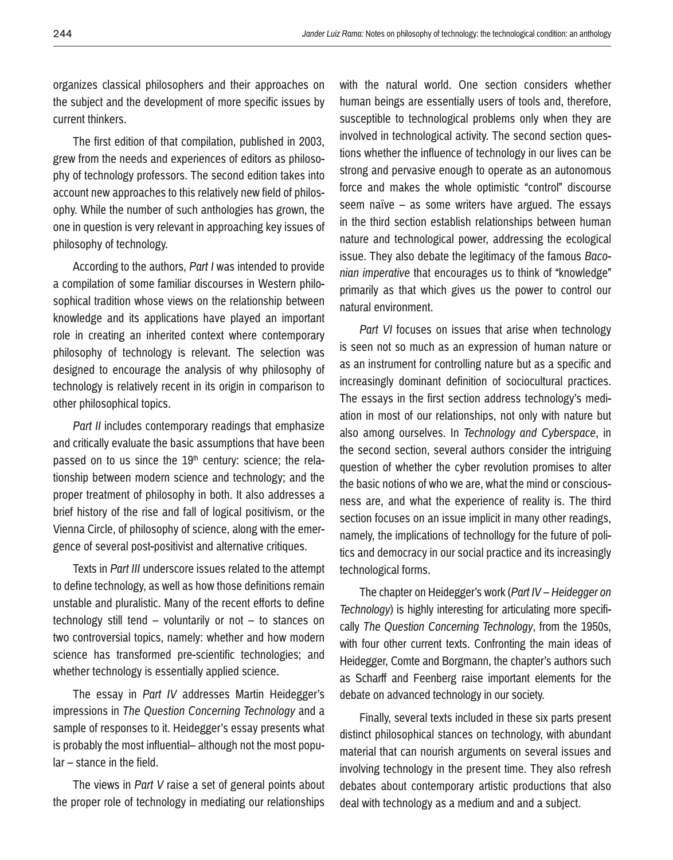organizes classical philosophers and their approaches on the subject and the development of more specific issues by current thinkers.

The first edition of that compilation, published in 2003, grew from the needs and experiences of editors as philosophy of technology professors. The second edition takes into account new approaches to this relatively new field of philosophy. While the number of such anthologies has grown, the one in question is very relevant in approaching key issues of philosophy of technology.

According to the authors, *Part I* was intended to provide a compilation of some familiar discourses in Western philosophical tradition whose views on the relationship between knowledge and its applications have played an important role in creating an inherited context where contemporary philosophy of technology is relevant. The selection was designed to encourage the analysis of why philosophy of technology is relatively recent in its origin in comparison to other philosophical topics.

*Part II* includes contemporary readings that emphasize and critically evaluate the basic assumptions that have been passed on to us since the 19<sup>th</sup> century: science; the relationship between modern science and technology; and the proper treatment of philosophy in both. It also addresses a brief history of the rise and fall of logical positivism, or the Vienna Circle, of philosophy of science, along with the emergence of several post-positivist and alternative critiques.

Texts in *Part III* underscore issues related to the attempt to define technology, as well as how those definitions remain unstable and pluralistic. Many of the recent efforts to define technology still tend – voluntarily or not – to stances on two controversial topics, namely: whether and how modern science has transformed pre-scientific technologies; and whether technology is essentially applied science.

The essay in *Part IV* addresses Martin Heidegger's impressions in *The Question Concerning Technology* and a sample of responses to it. Heidegger's essay presents what is probably the most influential– although not the most popular – stance in the field.

The views in *Part V* raise a set of general points about the proper role of technology in mediating our relationships

with the natural world. One section considers whether human beings are essentially users of tools and, therefore, susceptible to technological problems only when they are involved in technological activity. The second section questions whether the influence of technology in our lives can be strong and pervasive enough to operate as an autonomous force and makes the whole optimistic "control" discourse seem naïve – as some writers have argued. The essays in the third section establish relationships between human nature and technological power, addressing the ecological issue. They also debate the legitimacy of the famous *Baconian imperative* that encourages us to think of "knowledge" primarily as that which gives us the power to control our natural environment.

*Part VI* focuses on issues that arise when technology is seen not so much as an expression of human nature or as an instrument for controlling nature but as a specific and increasingly dominant definition of sociocultural practices. The essays in the first section address technology's mediation in most of our relationships, not only with nature but also among ourselves. In *Technology and Cyberspace*, in the second section, several authors consider the intriguing question of whether the cyber revolution promises to alter the basic notions of who we are, what the mind or consciousness are, and what the experience of reality is. The third section focuses on an issue implicit in many other readings, namely, the implications of technollogy for the future of politics and democracy in our social practice and its increasingly technological forms.

The chapter on Heidegger's work (*Part IV – Heidegger on Technology*) is highly interesting for articulating more specifically *The Question Concerning Technology*, from the 1950s, with four other current texts. Confronting the main ideas of Heidegger, Comte and Borgmann, the chapter's authors such as Scharff and Feenberg raise important elements for the debate on advanced technology in our society.

Finally, several texts included in these six parts present distinct philosophical stances on technology, with abundant material that can nourish arguments on several issues and involving technology in the present time. They also refresh debates about contemporary artistic productions that also deal with technology as a medium and and a subject.